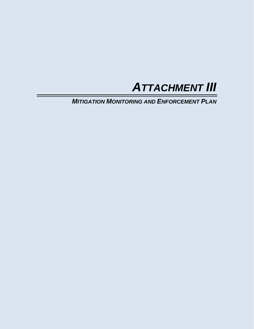

*MITIGATION MONITORING AND ENFORCEMENT PLAN*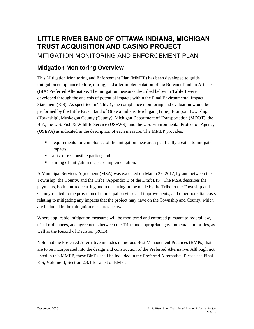# **LITTLE RIVER BAND OF OTTAWA INDIANS, MICHIGAN TRUST ACQUISITION AND CASINO PROJECT**

# MITIGATION MONITORING AND ENFORCEMENT PLAN

# **Mitigation Monitoring Overview**

This Mitigation Monitoring and Enforcement Plan (MMEP) has been developed to guide mitigation compliance before, during, and after implementation of the Bureau of Indian Affair's (BIA) Preferred Alternative. The mitigation measures described below in **Table 1** were developed through the analysis of potential impacts within the Final Environmental Impact Statement (EIS). As specified in **Table 1**, the compliance monitoring and evaluation would be performed by the Little River Band of Ottawa Indians, Michigan (Tribe), Fruitport Township (Township), Muskegon County (County), Michigan Department of Transportation (MDOT), the BIA, the U.S. Fish & Wildlife Service (USFWS), and the U.S. Environmental Protection Agency (USEPA) as indicated in the description of each measure. The MMEP provides:

- requirements for compliance of the mitigation measures specifically created to mitigate impacts;
- a list of responsible parties; and
- timing of mitigation measure implementation.

A Municipal Services Agreement (MSA) was executed on March 23, 2012, by and between the Township, the County, and the Tribe (Appendix B of the Draft EIS). The MSA describes the payments, both non-reoccurring and reoccurring, to be made by the Tribe to the Township and County related to the provision of municipal services and improvements, and other potential costs relating to mitigating any impacts that the project may have on the Township and County, which are included in the mitigation measures below.

Where applicable, mitigation measures will be monitored and enforced pursuant to federal law, tribal ordinances, and agreements between the Tribe and appropriate governmental authorities, as well as the Record of Decision (ROD).

Note that the Preferred Alternative includes numerous Best Management Practices (BMPs) that are to be incorporated into the design and construction of the Preferred Alternative. Although not listed in this MMEP, these BMPs shall be included in the Preferred Alternative. Please see Final EIS, Volume II, Section 2.3.1 for a list of BMPs.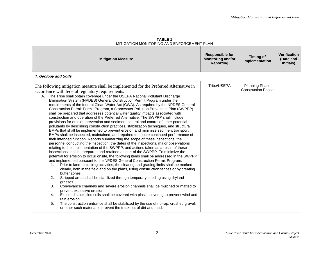| <u>IVILLIGATION IVONITONING AND ENFONCEMENT FLAN</u>                                                                                                                                                                                                                                                                                                                                                                                                                                                                                                                                                                                                                                                                                                                                                                                                                                                                                                                                                                                                                                                                                                                                                                                                                                                                                                                                                                                                                                                                                                                                                                                                                                                                                                                                                                                                                                                                                                                                                                                                                                                                                                                                                                                                                                |                                                                        |                                                    |                                               |  |
|-------------------------------------------------------------------------------------------------------------------------------------------------------------------------------------------------------------------------------------------------------------------------------------------------------------------------------------------------------------------------------------------------------------------------------------------------------------------------------------------------------------------------------------------------------------------------------------------------------------------------------------------------------------------------------------------------------------------------------------------------------------------------------------------------------------------------------------------------------------------------------------------------------------------------------------------------------------------------------------------------------------------------------------------------------------------------------------------------------------------------------------------------------------------------------------------------------------------------------------------------------------------------------------------------------------------------------------------------------------------------------------------------------------------------------------------------------------------------------------------------------------------------------------------------------------------------------------------------------------------------------------------------------------------------------------------------------------------------------------------------------------------------------------------------------------------------------------------------------------------------------------------------------------------------------------------------------------------------------------------------------------------------------------------------------------------------------------------------------------------------------------------------------------------------------------------------------------------------------------------------------------------------------------|------------------------------------------------------------------------|----------------------------------------------------|-----------------------------------------------|--|
| <b>Mitigation Measure</b>                                                                                                                                                                                                                                                                                                                                                                                                                                                                                                                                                                                                                                                                                                                                                                                                                                                                                                                                                                                                                                                                                                                                                                                                                                                                                                                                                                                                                                                                                                                                                                                                                                                                                                                                                                                                                                                                                                                                                                                                                                                                                                                                                                                                                                                           | <b>Responsible for</b><br><b>Monitoring and/or</b><br><b>Reporting</b> | <b>Timing of</b><br>Implementation                 | <b>Verification</b><br>(Date and<br>Initials) |  |
| 1. Geology and Soils                                                                                                                                                                                                                                                                                                                                                                                                                                                                                                                                                                                                                                                                                                                                                                                                                                                                                                                                                                                                                                                                                                                                                                                                                                                                                                                                                                                                                                                                                                                                                                                                                                                                                                                                                                                                                                                                                                                                                                                                                                                                                                                                                                                                                                                                |                                                                        |                                                    |                                               |  |
| The following mitigation measure shall be implemented for the Preferred Alternative in<br>accordance with federal regulatory requirements.<br>A. The Tribe shall obtain coverage under the USEPA National Pollutant Discharge<br>Elimination System (NPDES) General Construction Permit Program under the<br>requirements of the federal Clean Water Act (CWA). As required by the NPDES General<br>Construction Permit Permit Program, a Stormwater Pollution Prevention Plan (SWPPP)<br>shall be prepared that addresses potential water quality impacts associated with<br>construction and operation of the Preferred Alternative. The SWPPP shall include<br>provisions for erosion prevention and sediment control and control of other potential<br>pollutants by describing construction practices, stabilization techniques, and structural<br>BMPs that shall be implemented to prevent erosion and minimize sediment transport.<br>BMPs shall be inspected, maintained, and repaired to assure continued performance of<br>their intended function. Reports summarizing the scope of these inspections, the<br>personnel conducting the inspection, the dates of the inspections, major observations<br>relating to the implementation of the SWPPP, and actions taken as a result of these<br>inspections shall be prepared and retained as part of the SWPPP. To minimize the<br>potential for erosion to occur onsite, the following items shall be addressed in the SWPPP<br>and implemented pursuant to the NPDES General Construction Permit Program.<br>Prior to land-disturbing activities, the clearing and grading limits shall be marked<br>1.<br>clearly, both in the field and on the plans, using construction fences or by creating<br>buffer zones.<br>2.<br>Stripped areas shall be stabilized through temporary seeding using dryland<br>grasses.<br>3.<br>Conveyance channels and severe erosion channels shall be mulched or matted to<br>prevent excessive erosion.<br>Exposed stockpiled soils shall be covered with plastic covering to prevent wind and<br>4.<br>rain erosion.<br>5.<br>The construction entrance shall be stabilized by the use of rip-rap, crushed gravel,<br>or other such material to prevent the track-out of dirt and mud. | Tribe/USEPA                                                            | <b>Planning Phase</b><br><b>Construction Phase</b> |                                               |  |

**TABLE 1** MITIGATION MONITORING AND ENFORCEMENT PLAN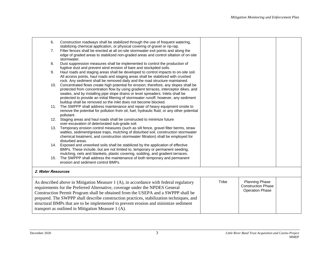| 6.                                                                                                     | Construction roadways shall be stabilized through the use of frequent watering,                                                                                          |       |                           |  |  |  |  |
|--------------------------------------------------------------------------------------------------------|--------------------------------------------------------------------------------------------------------------------------------------------------------------------------|-------|---------------------------|--|--|--|--|
|                                                                                                        | stabilizing chemical application, or physical covering of gravel or rip-rap.                                                                                             |       |                           |  |  |  |  |
| 7.                                                                                                     | Filter fences shall be erected at all on-site stormwater exit points and along the                                                                                       |       |                           |  |  |  |  |
|                                                                                                        | edge of graded areas to stabilized non-graded areas and control siltation of on-site                                                                                     |       |                           |  |  |  |  |
|                                                                                                        | stormwater.                                                                                                                                                              |       |                           |  |  |  |  |
| 8.                                                                                                     | Dust suppression measures shall be implemented to control the production of                                                                                              |       |                           |  |  |  |  |
|                                                                                                        | fugitive dust and prevent wind erosion of bare and stockpiled soils.                                                                                                     |       |                           |  |  |  |  |
| 9.                                                                                                     | Haul roads and staging areas shall be developed to control impacts to on-site soil.                                                                                      |       |                           |  |  |  |  |
|                                                                                                        | All access points, haul roads and staging areas shall be stabilized with crushed                                                                                         |       |                           |  |  |  |  |
|                                                                                                        | rock. Any sediment shall be removed daily and the road structure maintained.<br>10. Concentrated flows create high potential for erosion; therefore, any slopes shall be |       |                           |  |  |  |  |
|                                                                                                        | protected from concentration flow by using gradient terraces, interceptor dikes, and                                                                                     |       |                           |  |  |  |  |
|                                                                                                        | swales, and by installing pipe slope drains or level spreaders. Inlets shall be                                                                                          |       |                           |  |  |  |  |
|                                                                                                        | protected to provide an initial filtering of stormwater runoff; however, any sediment                                                                                    |       |                           |  |  |  |  |
|                                                                                                        | buildup shall be removed so the inlet does not become blocked.                                                                                                           |       |                           |  |  |  |  |
|                                                                                                        | 11. The SWPPP shall address maintenance and repair of heavy equipment onsite to                                                                                          |       |                           |  |  |  |  |
|                                                                                                        | remove the potential for pollution from oil, fuel, hydraulic fluid, or any other potential                                                                               |       |                           |  |  |  |  |
|                                                                                                        | pollutant.                                                                                                                                                               |       |                           |  |  |  |  |
|                                                                                                        | 12. Staging areas and haul roads shall be constructed to minimize future                                                                                                 |       |                           |  |  |  |  |
|                                                                                                        | over-excavation of deteriorated sub-grade soil.                                                                                                                          |       |                           |  |  |  |  |
| 13.                                                                                                    | Temporary erosion control measures (such as silt fence, gravel filter berms, straw                                                                                       |       |                           |  |  |  |  |
|                                                                                                        | wattles, sediment/grease traps, mulching of disturbed soil, construction stormwater                                                                                      |       |                           |  |  |  |  |
|                                                                                                        | chemical treatment, and construction stormwater filtration) shall be employed for                                                                                        |       |                           |  |  |  |  |
|                                                                                                        | disturbed areas.                                                                                                                                                         |       |                           |  |  |  |  |
|                                                                                                        | 14. Exposed and unworked soils shall be stabilized by the application of effective                                                                                       |       |                           |  |  |  |  |
|                                                                                                        | BMPs. These include, but are not limited to, temporary or permanent seeding,                                                                                             |       |                           |  |  |  |  |
|                                                                                                        | mulching, nets and blankets, plastic covering, sodding, and gradient terraces.                                                                                           |       |                           |  |  |  |  |
|                                                                                                        | 15. The SWPPP shall address the maintenance of both temporary and permanent                                                                                              |       |                           |  |  |  |  |
|                                                                                                        | erosion and sediment control BMPs.                                                                                                                                       |       |                           |  |  |  |  |
| 2. Water Resources                                                                                     |                                                                                                                                                                          |       |                           |  |  |  |  |
|                                                                                                        |                                                                                                                                                                          |       |                           |  |  |  |  |
|                                                                                                        | As described above in Mitigation Measure 1 (A), in accordance with federal regulatory                                                                                    | Tribe | Planning Phase            |  |  |  |  |
|                                                                                                        |                                                                                                                                                                          |       | <b>Construction Phase</b> |  |  |  |  |
| requirements for the Preferred Alternative, coverage under the NPDES General<br><b>Operation Phase</b> |                                                                                                                                                                          |       |                           |  |  |  |  |
| Construction Permit Program shall be obtained from the USEPA and a SWPPP shall be                      |                                                                                                                                                                          |       |                           |  |  |  |  |
| prepared. The SWPPP shall describe construction practices, stabilization techniques, and               |                                                                                                                                                                          |       |                           |  |  |  |  |
|                                                                                                        | structural BMPs that are to be implemented to prevent erosion and minimize sediment                                                                                      |       |                           |  |  |  |  |
|                                                                                                        | transport as outlined in Mitigation Measure 1 (A).                                                                                                                       |       |                           |  |  |  |  |
|                                                                                                        |                                                                                                                                                                          |       |                           |  |  |  |  |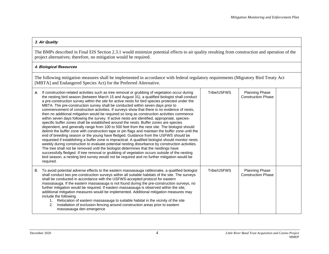### **3. Air Quality**

The BMPs described in Final EIS Section 2.3.1 would minimize potential effects to air quality resulting from construction and operation of the project alternatives; therefore, no mitigation would be required.

## **4. Biological Resources**

The following mitigation measures shall be implemented in accordance with federal regulatory requirements (Migratory Bird Treaty Act [MBTA] and Endangered Species Act) for the Preferred Alternative.

| If construction-related activities such as tree removal or grubbing of vegetation occur during<br>А.<br>the nesting bird season (between March 15 and August 31), a qualified biologist shall conduct<br>a pre-construction survey within the site for active nests for bird species protected under the<br>MBTA. The pre-construction survey shall be conducted within seven days prior to<br>commencement of construction activities. If surveys show that there is no evidence of nests,<br>then no additional mitigation would be required so long as construction activities commence<br>within seven days following the survey. If active nests are identified, appropriate, species-<br>specific buffer zones shall be established around the nests. Buffer zones are species<br>dependent, and generally range from 100 to 500 feet from the nest site. The biologist should<br>delimit the buffer zone with construction tape or pin flags and maintain the buffer zone until the<br>end of breeding season or the young have fledged. Guidance from the USFWS should be<br>requested if establishing a buffer zone is impractical. A qualified biologist should monitor nests<br>weekly during construction to evaluate potential nesting disturbance by construction activities.<br>The tree shall not be removed until the biologist determines that the nestlings have<br>successfully fledged. If tree removal or grubbing of vegetation occurs outside of the nesting<br>bird season, a nesting bird survey would not be required and no further mitigation would be<br>required. |  | Tribe/USFWS | <b>Planning Phase</b><br><b>Construction Phase</b> |  |
|--------------------------------------------------------------------------------------------------------------------------------------------------------------------------------------------------------------------------------------------------------------------------------------------------------------------------------------------------------------------------------------------------------------------------------------------------------------------------------------------------------------------------------------------------------------------------------------------------------------------------------------------------------------------------------------------------------------------------------------------------------------------------------------------------------------------------------------------------------------------------------------------------------------------------------------------------------------------------------------------------------------------------------------------------------------------------------------------------------------------------------------------------------------------------------------------------------------------------------------------------------------------------------------------------------------------------------------------------------------------------------------------------------------------------------------------------------------------------------------------------------------------------------------------------------------------------------------------------|--|-------------|----------------------------------------------------|--|
| To avoid potential adverse effects to the eastern massasauga rattlesnake, a qualified biologist<br>В.<br>shall conduct two pre-construction surveys within all suitable habitats of the site. The surveys<br>shall be conducted in accordance with the USFWS-accepted protocol for eastern<br>massasauga. If the eastern massasauga is not found during the pre-construction surveys, no<br>further mitigation would be required. If eastern massasauga is observed within the site,<br>additional mitigation measures would be implemented. Additional mitigation measures may<br>include the following.<br>Relocation of eastern massasauga to suitable habitat in the vicinity of the site<br>Installation of exclusion fencing around construction areas prior to eastern<br>2.<br>massasauga den emergence                                                                                                                                                                                                                                                                                                                                                                                                                                                                                                                                                                                                                                                                                                                                                                                  |  | Tribe/USFWS | Planning Phase<br><b>Construction Phase</b>        |  |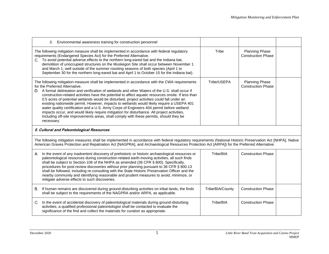| 3. Environmental awareness training for construction personnel                                                                                                                                                                                                                                                                                                                                                                                                                                                                                                                                                                                                                                                                                                                                                                           |                  |                                                    |  |  |
|------------------------------------------------------------------------------------------------------------------------------------------------------------------------------------------------------------------------------------------------------------------------------------------------------------------------------------------------------------------------------------------------------------------------------------------------------------------------------------------------------------------------------------------------------------------------------------------------------------------------------------------------------------------------------------------------------------------------------------------------------------------------------------------------------------------------------------------|------------------|----------------------------------------------------|--|--|
| The following mitigation measure shall be implemented in accordance with federal regulatory<br>requirements (Endangered Species Act) for the Preferred Alternative.<br>C. To avoid potential adverse effects to the northern long-eared bat and the Indiana bat,<br>demolition of unoccupied structures on the Muskegon Site shall occur between November 1<br>and March 1, well outside of the summer roosting seasons of both species (April 1 to<br>September 30 for the northern long-eared bat and April 1 to October 15 for the Indiana bat).                                                                                                                                                                                                                                                                                      | Tribe            | <b>Planning Phase</b><br><b>Construction Phase</b> |  |  |
| The following mitigation measure shall be implemented in accordance with the CWA requirements<br>for the Preferred Alternative.<br>D. A formal delineation and verification of wetlands and other Waters of the U.S. shall occur if<br>construction-related activities have the potential to affect aquatic resources onsite. If less than<br>0.5 acres of potential wetlands would be disturbed, project activities could fall under an<br>existing nationwide permit. However, impacts to wetlands would likely require a USEPA 401<br>water quality certification and a U.S. Army Corps of Engineers 404 permit before wetland<br>impacts occur, and would likely require mitigation for disturbance. All project activities,<br>including off-site improvements areas, shall comply with these permits, should they be<br>necessary. | Tribe/USEPA      | <b>Planning Phase</b><br><b>Construction Phase</b> |  |  |
| 5. Cultural and Paleontological Resources                                                                                                                                                                                                                                                                                                                                                                                                                                                                                                                                                                                                                                                                                                                                                                                                |                  |                                                    |  |  |
| The following mitigation measures shall be implemented in accordance with federal regulatory requirements (National Historic Preservation Act [NHPA], Native<br>American Graves Protection and Repatriation Act [NAGPRA], and Archaeological Resources Protection Act [ARPA]) for the Preferred Alternative.                                                                                                                                                                                                                                                                                                                                                                                                                                                                                                                             |                  |                                                    |  |  |
| In the event of any inadvertent discovery of prehistoric or historic archaeological resources or<br>А.<br>paleontological resources during construction-related earth-moving activities, all such finds<br>shall be subject to Section 106 of the NHPA as amended (36 CFR § 800). Specifically,<br>procedures for post-review discoveries without prior planning pursuant to 36 CFR § 800.13<br>shall be followed, including re-consulting with the State Historic Preservation Officer and the<br>nearby community and identifying reasonable and prudent measures to avoid, minimize, or<br>mitigate adverse effects to such discoveries.                                                                                                                                                                                              | Tribe/BIA        | <b>Construction Phase</b>                          |  |  |
| B. If human remains are discovered during ground-disturbing activities on tribal lands, the finds<br>shall be subject to the requirements of the NAGPRA and/or ARPA, as applicable.                                                                                                                                                                                                                                                                                                                                                                                                                                                                                                                                                                                                                                                      | Tribe/BIA/County | <b>Construction Phase</b>                          |  |  |
| C. In the event of accidental discovery of paleontological materials during ground-disturbing<br>activities, a qualified professional paleontologist shall be contacted to evaluate the<br>significance of the find and collect the materials for curation as appropriate.                                                                                                                                                                                                                                                                                                                                                                                                                                                                                                                                                               | Tribe/BIA        | <b>Construction Phase</b>                          |  |  |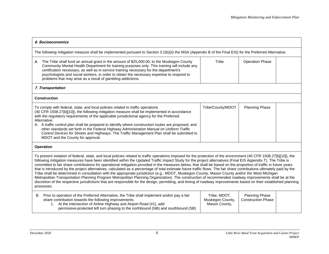| 6. Socioeconomics                                                                                                                                                                                                                                                                                                                                                                                                                                                                                                                                                                                                                                                                                                                                                                                                                                                                                                                                                                                                                                                                                                                                                                   |                   |                        |  |  |  |
|-------------------------------------------------------------------------------------------------------------------------------------------------------------------------------------------------------------------------------------------------------------------------------------------------------------------------------------------------------------------------------------------------------------------------------------------------------------------------------------------------------------------------------------------------------------------------------------------------------------------------------------------------------------------------------------------------------------------------------------------------------------------------------------------------------------------------------------------------------------------------------------------------------------------------------------------------------------------------------------------------------------------------------------------------------------------------------------------------------------------------------------------------------------------------------------|-------------------|------------------------|--|--|--|
| The following mitigation measure shall be implemented pursuant to Section 3.2(b)(ii) the MSA (Appendix B of the Final EIS) for the Preferred Alternative.                                                                                                                                                                                                                                                                                                                                                                                                                                                                                                                                                                                                                                                                                                                                                                                                                                                                                                                                                                                                                           |                   |                        |  |  |  |
| The Tribe shall fund an annual grant in the amount of \$25,000.00, to the Muskegon County<br>А.<br>Community Mental Health Department for training purposes only. This training will include any<br>certification necessary, as well as in-service training necessary for the department's<br>psychologists and social workers, in order to obtain the necessary expertise to respond to<br>problems that may arise as a result of gambling addictions.                                                                                                                                                                                                                                                                                                                                                                                                                                                                                                                                                                                                                                                                                                                             | Tribe             | <b>Operation Phase</b> |  |  |  |
| 7. Transportation                                                                                                                                                                                                                                                                                                                                                                                                                                                                                                                                                                                                                                                                                                                                                                                                                                                                                                                                                                                                                                                                                                                                                                   |                   |                        |  |  |  |
| <b>Construction</b>                                                                                                                                                                                                                                                                                                                                                                                                                                                                                                                                                                                                                                                                                                                                                                                                                                                                                                                                                                                                                                                                                                                                                                 |                   |                        |  |  |  |
| To comply with federal, state, and local policies related to traffic operations<br>(40 CFR 1508.27[b][10]), the following mitigation measure shall be implemented in accordance<br>with the regulatory requirements of the applicable jurisdictional agency for the Preferred<br>Alternative.<br>A. A traffic control plan shall be prepared to identify where construction routes are proposed, and<br>other standards set forth in the Federal Highway Administration Manual on Uniform Traffic<br>Control Devices for Streets and Highways. The Traffic Management Plan shall be submitted to<br>MDOT and the County for approval.                                                                                                                                                                                                                                                                                                                                                                                                                                                                                                                                               | Tribe/County/MDOT | <b>Planning Phase</b>  |  |  |  |
| <b>Operation</b>                                                                                                                                                                                                                                                                                                                                                                                                                                                                                                                                                                                                                                                                                                                                                                                                                                                                                                                                                                                                                                                                                                                                                                    |                   |                        |  |  |  |
| To prevent violation of federal, state, and local policies related to traffic operations imposed for the protection of the environment (40 CFR 1508.27[b][10]), the<br>following mitigation measures have been identified within the Updated Traffic Impact Study for the project alternatives (Final EIS Appendix T). The Tribe is<br>committed to fair share contributions for operational mitigation provided in the measures below, that shall be based on the proportion of traffic in future years<br>that is introduced by the project alternatives, calculated as a percentage of total estimate future traffic flows. The fair share contributions ultimately paid by the<br>Tribe shall be determined in consultation with the appropriate jurisdiction (e.g., MDOT, Muskegon County, Mason County and/or the West Michigan<br>Metropolitan Transportation Planning Program Metropolitan Planning Organization). The construction of recommended roadway improvements shall be at the<br>discretion of the respective jurisdictions that are responsible for the design, permitting, and timing of roadway improvements based on their established planning<br>processes. |                   |                        |  |  |  |
| Prior to operation of the Preferred Alternative, the Tribe shall implement and/or pay a fair<br>Tribe, MDOT,<br><b>Planning Phase</b><br>В.<br>share contribution towards the following improvements.<br>Muskegon County,<br><b>Construction Phase</b><br>1. At the intersection of Airline Highway and Airport Road (#1), add<br>Mason County,<br>permissive-protected left turn phasing to the northbound (NB) and southbound (SB)                                                                                                                                                                                                                                                                                                                                                                                                                                                                                                                                                                                                                                                                                                                                                |                   |                        |  |  |  |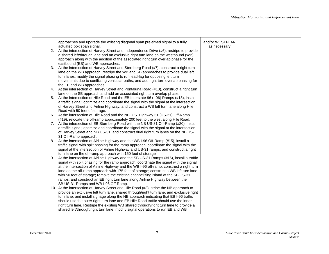|    | approaches and upgrade the existing diagonal span pre-timed signal to a fully<br>actuated box span signal.<br>2. At the intersection of Harvey Street and Independence Drive (#6), restripe to provide<br>a shared left/through lane and an exclusive right turn lane on the westbound (WB)<br>approach along with the addition of the associated right turn overlap phase for the                                                                                                                                                                                                  | and/or WESTPLAN<br>as necessary |  |
|----|-------------------------------------------------------------------------------------------------------------------------------------------------------------------------------------------------------------------------------------------------------------------------------------------------------------------------------------------------------------------------------------------------------------------------------------------------------------------------------------------------------------------------------------------------------------------------------------|---------------------------------|--|
|    | eastbound (EB) and WB approaches.<br>3. At the intersection of Harvey Street and Sternberg Road (#7), construct a right turn<br>lane on the WB approach; restripe the WB and SB approaches to provide dual left<br>turn lanes; modify the signal phasing to run lead-lag for opposing left turn<br>movements due to conflicting vehicular paths; and add right turn overlap phasing for<br>the EB and WB approaches.                                                                                                                                                                |                                 |  |
| 4. | At the intersection of Harvey Street and Pontaluna Road (#10), construct a right turn                                                                                                                                                                                                                                                                                                                                                                                                                                                                                               |                                 |  |
| 5. | lane on the SB approach and add an associated right turn overlap phase.<br>At the intersection of Hile Road and the EB Interstate 96 (I-96) Ramps (#18), install<br>a traffic signal; optimize and coordinate the signal with the signal at the intersection<br>of Harvey Street and Airline Highway; and construct a WB left turn lane along Hile                                                                                                                                                                                                                                  |                                 |  |
|    | Road with 50 feet of storage.<br>6. At the intersection of Hile Road and the NB U.S. Highway 31 (US-31) Off-Ramp                                                                                                                                                                                                                                                                                                                                                                                                                                                                    |                                 |  |
|    | (#19), relocate the off-ramp approximately 200 feet to the west along Hile Road.                                                                                                                                                                                                                                                                                                                                                                                                                                                                                                    |                                 |  |
|    | 7. At the intersection of EB Sternberg Road with the NB US-31 Off-Ramp (#20), install<br>a traffic signal; optimize and coordinate the signal with the signal at the intersection<br>of Harvey Street and NB US-31; and construct dual right turn lanes on the NB US-<br>31 Off-Ramp approach.                                                                                                                                                                                                                                                                                      |                                 |  |
| 8. | At the intersection of Airline Highway and the WB I-96 Off-Ramp (#15), install a<br>traffic signal with split phasing for the ramp approach; coordinate the signal with the<br>signal at the intersection of Airline Highway and US-31 ramps; and construct a right<br>turn lane on the off-ramp approach with 150 feet of storage.                                                                                                                                                                                                                                                 |                                 |  |
| 9. | At the intersection of Airline Highway and the SB US-31 Ramps (#16), install a traffic<br>signal with split phasing for the ramp approach; coordinate the signal with the signal<br>at the intersection of Airline Highway and the WB I-96 off-ramp; construct a right turn<br>lane on the off-ramp approach with 175 feet of storage; construct a WB left turn lane<br>with 50 feet of storage; remove the existing channelizing island at the SB US-31<br>ramps; and construct an EB right turn lane along Airline Highway between the                                            |                                 |  |
|    | SB US-31 Ramps and WB I-96 Off-Ramp.<br>10. At the intersection of Harvey Street and Hile Road (#3), stripe the NB approach to<br>provide an exclusive left turn lane, shared through/right turn lane, and exclusive right<br>turn lane; and install signage along the NB approach indicating that EB I-96 traffic<br>should use the outer right turn lane and EB Hile Road traffic should use the inner<br>right turn lane. Restripe the existing WB shared through/right turn lane to provide a<br>shared left/through/right turn lane; modify signal operations to run EB and WB |                                 |  |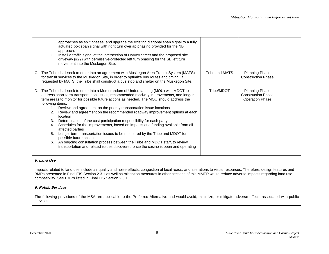|                                                | approaches as split phases; and upgrade the existing diagonal span signal to a fully<br>actuated box span signal with right turn overlap phasing provided for the NB<br>approach.<br>11. Install a traffic signal at the intersection of Harvey Street and the proposed site<br>driveway (#29) with permissive-protected left turn phasing for the SB left turn<br>movement into the Muskegon Site.                                                                                                                                                                                                                                                                                                                                                                                                                                                                                                            |                |                                                                              |  |
|------------------------------------------------|----------------------------------------------------------------------------------------------------------------------------------------------------------------------------------------------------------------------------------------------------------------------------------------------------------------------------------------------------------------------------------------------------------------------------------------------------------------------------------------------------------------------------------------------------------------------------------------------------------------------------------------------------------------------------------------------------------------------------------------------------------------------------------------------------------------------------------------------------------------------------------------------------------------|----------------|------------------------------------------------------------------------------|--|
|                                                | C. The Tribe shall seek to enter into an agreement with Muskegon Area Transit System (MATS)<br>for transit services to the Muskegon Site, in order to optimize bus routes and timing. If<br>requested by MATS, the Tribe shall construct a bus stop and shelter on the Muskegon Site.                                                                                                                                                                                                                                                                                                                                                                                                                                                                                                                                                                                                                          | Tribe and MATS | <b>Planning Phase</b><br><b>Construction Phase</b>                           |  |
| following items.<br>2.<br>3.<br>4.<br>5.<br>6. | D. The Tribe shall seek to enter into a Memorandum of Understanding (MOU) with MDOT to<br>address short-term transportation issues, recommended roadway improvements, and longer<br>term areas to monitor for possible future actions as needed. The MOU should address the<br>1. Review and agreement on the priority transportation issue locations<br>Review and agreement on the recommended roadway improvement options at each<br>location<br>Determination of the cost participation responsibility for each party<br>Schedules for the improvements, based on impacts and funding available from all<br>affected parties<br>Longer term transportation issues to be monitored by the Tribe and MDOT for<br>possible future action<br>An ongoing consultation process between the Tribe and MDOT staff, to review<br>transportation and related issues discovered once the casino is open and operating | Tribe/MDOT     | <b>Planning Phase</b><br><b>Construction Phase</b><br><b>Operation Phase</b> |  |
| 8. Land Use                                    |                                                                                                                                                                                                                                                                                                                                                                                                                                                                                                                                                                                                                                                                                                                                                                                                                                                                                                                |                |                                                                              |  |

Impacts related to land use include air quality and noise effects, congestion of local roads, and alterations to visual resources. Therefore, design features and BMPs presented in Final EIS Section 2.3.1 as well as mitigation measures in other sections of this MMEP would reduce adverse impacts regarding land use compatibility. See BMPs listed in Final EIS Section 2.3.1.

### **9. Public Services**

The following provisions of the MSA are applicable to the Preferred Alternative and would avoid, minimize, or mitigate adverse effects associated with public services.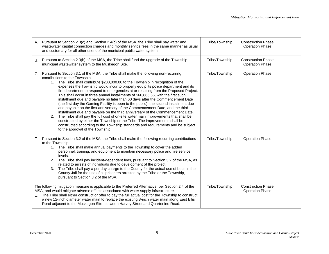|                                                                                                                                                                                                                                                                                                                                                                                                                                                                                          | A. Pursuant to Section 2.3(c) and Section 2.4(c) of the MSA, the Tribe shall pay water and<br>wastewater capital connection charges and monthly service fees in the same manner as usual<br>and customary for all other users of the municipal public water system.                                                                                                                                                                                                                                                                                                                                                                                                                                                                                                                                                                                                                                                                                                                                                                                                                                                          | Tribe/Township | <b>Construction Phase</b><br><b>Operation Phase</b> |  |
|------------------------------------------------------------------------------------------------------------------------------------------------------------------------------------------------------------------------------------------------------------------------------------------------------------------------------------------------------------------------------------------------------------------------------------------------------------------------------------------|------------------------------------------------------------------------------------------------------------------------------------------------------------------------------------------------------------------------------------------------------------------------------------------------------------------------------------------------------------------------------------------------------------------------------------------------------------------------------------------------------------------------------------------------------------------------------------------------------------------------------------------------------------------------------------------------------------------------------------------------------------------------------------------------------------------------------------------------------------------------------------------------------------------------------------------------------------------------------------------------------------------------------------------------------------------------------------------------------------------------------|----------------|-----------------------------------------------------|--|
| В.                                                                                                                                                                                                                                                                                                                                                                                                                                                                                       | Pursuant to Section 2.3(b) of the MSA, the Tribe shall fund the upgrade of the Township<br>municipal wastewater system to the Muskegon Site.                                                                                                                                                                                                                                                                                                                                                                                                                                                                                                                                                                                                                                                                                                                                                                                                                                                                                                                                                                                 | Tribe/Township | <b>Construction Phase</b><br><b>Operation Phase</b> |  |
|                                                                                                                                                                                                                                                                                                                                                                                                                                                                                          | Pursuant to Section 3.1 of the MSA, the Tribe shall make the following non-recurring<br>contributions to the Township.<br>The Tribe shall contribute \$200,000.00 to the Township in recognition of the<br>1.<br>expenses the Township would incur to properly equip its police department and its<br>fire department to respond to emergencies at or resulting from the Proposed Project.<br>This shall occur in three annual installments of \$66,666.66, with the first such<br>installment due and payable no later than 60 days after the Commencement Date<br>(the first day the Gaming Facility is open to the public), the second installment due<br>and payable on the first anniversary of the Commencement Date, and the third<br>installment due and payable on the third anniversary of the Commencement Date.<br>The Tribe shall pay the full cost of on-site water main improvements that shall be<br>2.<br>constructed by either the Township or the Tribe. The improvements shall be<br>constructed according to the Township standards and requirements and be subject<br>to the approval of the Township. | Tribe/Township | <b>Operation Phase</b>                              |  |
| D.                                                                                                                                                                                                                                                                                                                                                                                                                                                                                       | Pursuant to Section 3.2 of the MSA, the Tribe shall make the following recurring contributions<br>to the Township:<br>The Tribe shall make annual payments to the Township to cover the added<br>1.<br>personnel, training, and equipment to maintain necessary police and fire service<br>levels.<br>2.<br>The Tribe shall pay incident-dependent fees, pursuant to Section 3.2 of the MSA, as<br>related to arrests of individuals due to development of the project.<br>The Tribe shall pay a per day charge to the County for the actual use of beds in the<br>3.<br>County Jail for the use of all prisoners arrested by the Tribe or the Township,<br>pursuant to Section 3.2 of the MSA.                                                                                                                                                                                                                                                                                                                                                                                                                              | Tribe/Township | <b>Operation Phase</b>                              |  |
| The following mitigation measure is applicable to the Preferred Alternative, per Section 2.4 of the<br>MSA, and would mitigate adverse effects associated with water supply infrastructure.<br>E. The Tribe shall either construct or offer to pay the full actual cost for the Township to construct<br>a new 12-inch diameter water main to replace the existing 8-inch water main along East Ellis<br>Road adjacent to the Muskegon Site, between Harvey Street and Quarterline Road. |                                                                                                                                                                                                                                                                                                                                                                                                                                                                                                                                                                                                                                                                                                                                                                                                                                                                                                                                                                                                                                                                                                                              | Tribe/Township | <b>Construction Phase</b><br><b>Operation Phase</b> |  |